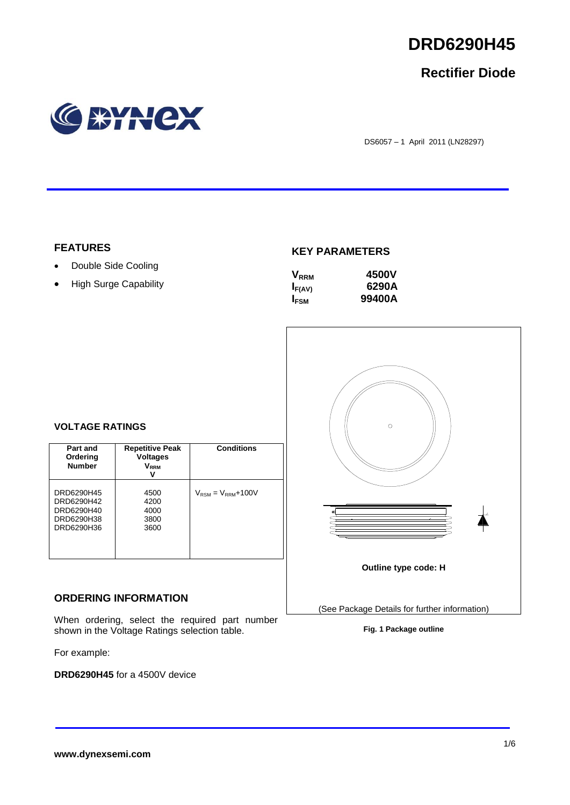

## **Rectifier Diode**



DS6057 – 1 April 2011 (LN28297)

### **FEATURES**

- Double Side Cooling
- High Surge Capability

### **KEY PARAMETERS**

| $\mathsf{V}_{\scriptscriptstyle\sf RRM}$ | 4500V  |
|------------------------------------------|--------|
| $I_{F(AV)}$                              | 6290A  |
| <b>IFSM</b>                              | 99400A |



### **VOLTAGE RATINGS**

| Part and<br>Ordering<br><b>Number</b>                              | <b>Repetitive Peak</b><br><b>Voltages</b><br>V <sub>rrm</sub><br>v | Conditions                               |
|--------------------------------------------------------------------|--------------------------------------------------------------------|------------------------------------------|
| DRD6290H45<br>DRD6290H42<br>DRD6290H40<br>DRD6290H38<br>DRD6290H36 | 4500<br>4200<br>4000<br>3800<br>3600                               | $V_{\text{RSM}} = V_{\text{RRM}} + 100V$ |

### **ORDERING INFORMATION**

When ordering, select the required part number shown in the Voltage Ratings selection table.

For example:

**DRD6290H45** for a 4500V device

**Fig. 1 Package outline**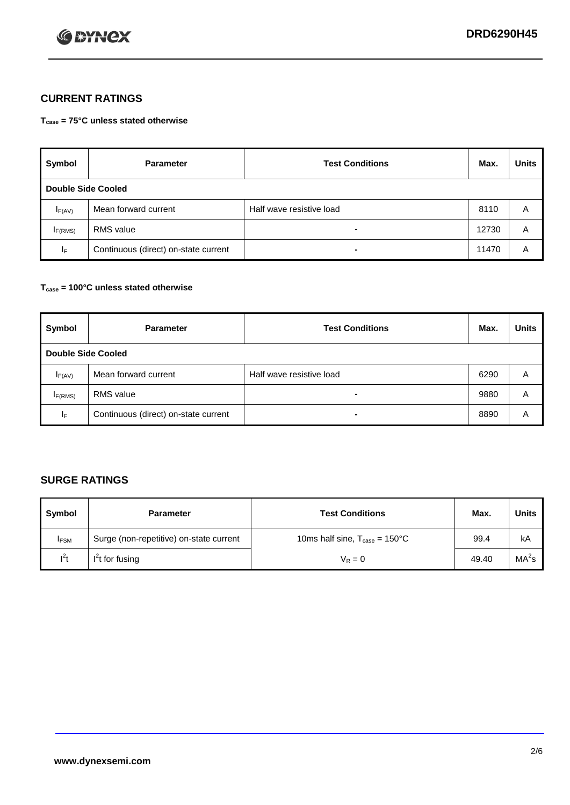

## **CURRENT RATINGS**

**Tcase = 75°C unless stated otherwise**

| Symbol             | <b>Parameter</b>                     | <b>Test Conditions</b>   | Max.  | <b>Units</b> |  |
|--------------------|--------------------------------------|--------------------------|-------|--------------|--|
| Double Side Cooled |                                      |                          |       |              |  |
| $I_{F(AV)}$        | Mean forward current                 | Half wave resistive load | 8110  | A            |  |
| IF(RMS)            | <b>RMS</b> value                     | $\blacksquare$           | 12730 | A            |  |
| IF.                | Continuous (direct) on-state current | $\blacksquare$           | 11470 | A            |  |

### **Tcase = 100°C unless stated otherwise**

| Symbol              | <b>Parameter</b>                     | <b>Test Conditions</b>   | Max. | <b>Units</b> |  |  |
|---------------------|--------------------------------------|--------------------------|------|--------------|--|--|
|                     | <b>Double Side Cooled</b>            |                          |      |              |  |  |
| $I_{F(AV)}$         | Mean forward current                 | Half wave resistive load | 6290 | Α            |  |  |
| I <sub>F(RMS)</sub> | <b>RMS</b> value                     | $\overline{\phantom{0}}$ | 9880 | A            |  |  |
| IF                  | Continuous (direct) on-state current | ۰                        | 8890 | A            |  |  |

## **SURGE RATINGS**

| Symbol      | <b>Parameter</b>                        | <b>Test Conditions</b>                            | Max.  | <b>Units</b>      |
|-------------|-----------------------------------------|---------------------------------------------------|-------|-------------------|
| <b>IFSM</b> | Surge (non-repetitive) on-state current | 10ms half sine, $T_{\text{case}} = 150^{\circ}$ C | 99.4  | kA                |
| $l^2t$      | I <sup>'</sup> t for fusing             | $V_R = 0$                                         | 49.40 | MA <sup>2</sup> s |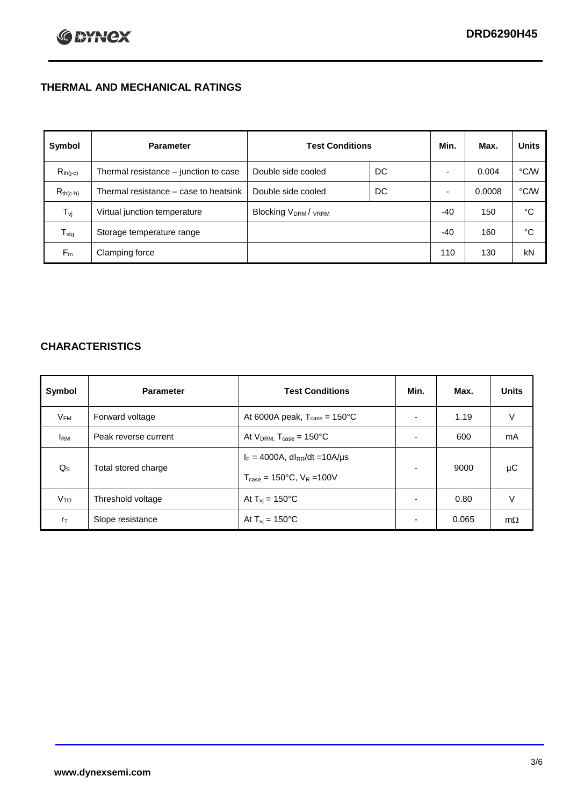## **THERMAL AND MECHANICAL RATINGS**

| Symbol           | <b>Parameter</b>                      | <b>Test Conditions</b>                      |    | Min.  | Max.   | <b>Units</b> |
|------------------|---------------------------------------|---------------------------------------------|----|-------|--------|--------------|
| $R_{th(j-c)}$    | Thermal resistance - junction to case | Double side cooled                          | DC |       | 0.004  | °C/W         |
| $R_{th(c-h)}$    | Thermal resistance – case to heatsink | Double side cooled                          | DC |       | 0.0008 | °C/W         |
| $T_{\rm vj}$     | Virtual junction temperature          | Blocking V <sub>DRM</sub> / <sub>VRRM</sub> |    | $-40$ | 150    | °C           |
| $T_{\text{stg}}$ | Storage temperature range             |                                             |    | $-40$ | 160    | °C           |
| $F_m$            | Clamping force                        |                                             |    | 110   | 130    | kN           |

## **CHARACTERISTICS**

| Symbol                 | <b>Parameter</b>     | <b>Test Conditions</b>                                                                           | Min.                     | Max.  | <b>Units</b> |
|------------------------|----------------------|--------------------------------------------------------------------------------------------------|--------------------------|-------|--------------|
| $V_{FM}$               | Forward voltage      | At 6000A peak, $T_{\text{case}} = 150^{\circ}$ C                                                 |                          | 1.19  | V            |
| <b>I</b> <sub>RM</sub> | Peak reverse current | At $V_{DRM}$ , $T_{case} = 150^{\circ}C$                                                         |                          | 600   | mA           |
| $Q_{\rm S}$            | Total stored charge  | $I_F = 4000A$ , dl <sub>RR</sub> /dt = 10A/us<br>$T_{\text{case}} = 150^{\circ}$ C, $V_R = 100V$ |                          | 9000  | μC           |
| V <sub>TO</sub>        | Threshold voltage    | At $T_{vi} = 150^{\circ}$ C                                                                      | $\overline{\phantom{0}}$ | 0.80  | V            |
| $r_{\text{T}}$         | Slope resistance     | At $T_{vi} = 150^{\circ}$ C                                                                      | $\overline{\phantom{0}}$ | 0.065 | $m\Omega$    |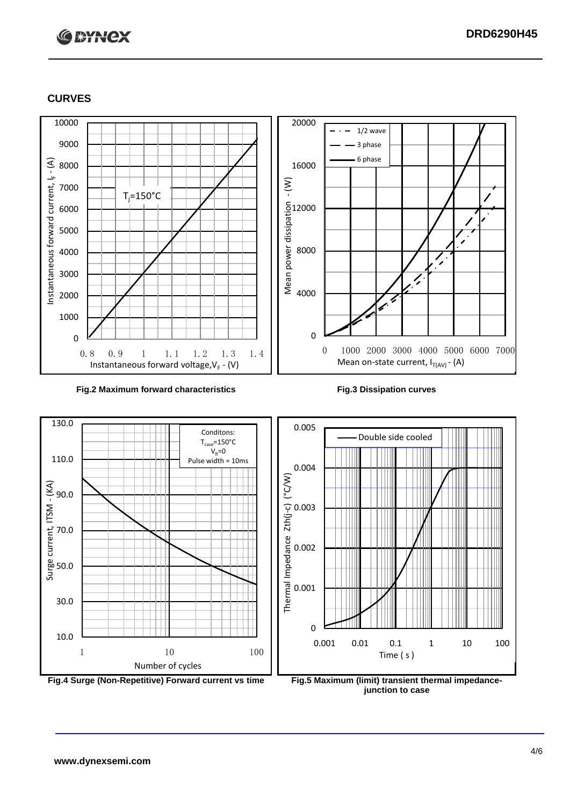# **C BYNCX**

### **CURVES**



### **Fig.2 Maximum forward characteristics Fig.3 Dissipation curves**





**junction to case**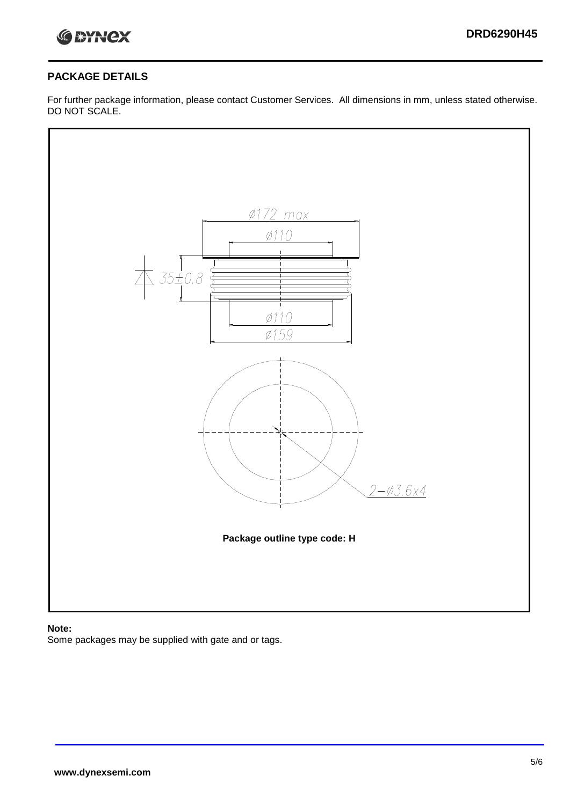

### **PACKAGE DETAILS**

For further package information, please contact Customer Services. All dimensions in mm, unless stated otherwise. DO NOT SCALE.



### **Note:**

Some packages may be supplied with gate and or tags.